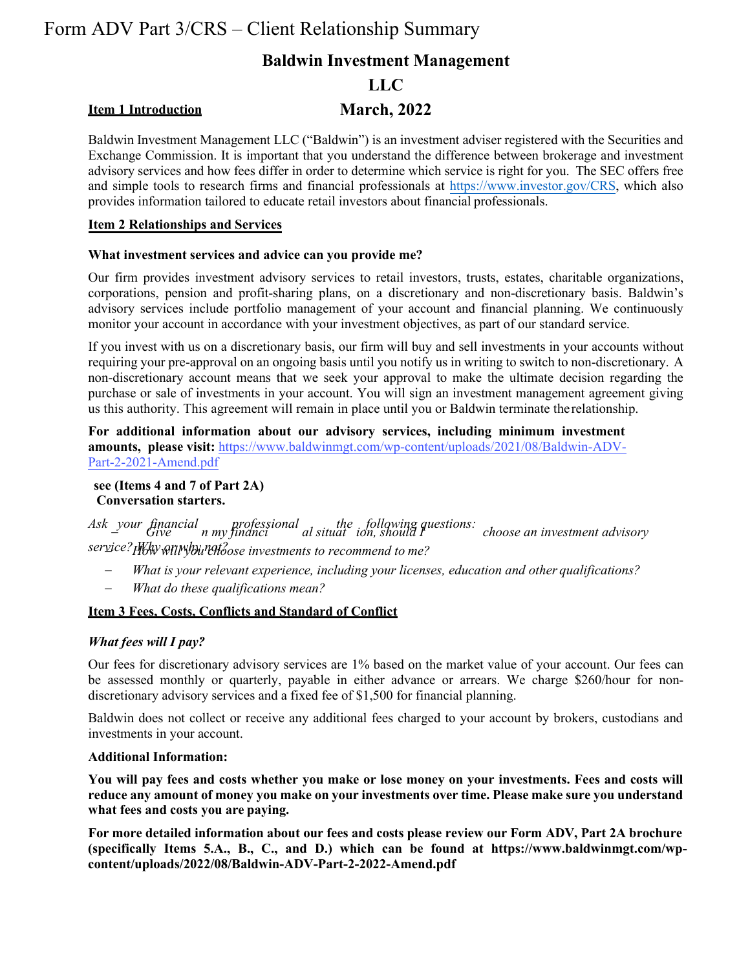# Form ADV Part 3/CRS – Client Relationship Summary

# **Baldwin Investment Management**

# **LLC**

# **March, 2022**

Baldwin Investment Management LLC ("Baldwin") is an investment adviser registered with the Securities and Exchange Commission. It is important that you understand the difference between brokerage and investment advisory services and how fees differ in order to determine which service is right for you.  The SEC offers free and simple tools to research firms and financial professionals a[t https://www.investor.gov/CRS,](https://www.investor.gov/CRS) which also provides information tailored to educate retail investors about financial professionals.

# **Item 2 Relationships and Services**

**Item 1 Introduction**

# **What investment services and advice can you provide me?**

Our firm provides investment advisory services to retail investors, trusts, estates, charitable organizations, corporations, pension and profit-sharing plans, on a discretionary and non-discretionary basis. Baldwin's advisory services include portfolio management of your account and financial planning. We continuously monitor your account in accordance with your investment objectives, as part of our standard service.

If you invest with us on a discretionary basis, our firm will buy and sell investments in your accounts without requiring your pre-approval on an ongoing basis until you notify us in writing to switch to non-discretionary. A non-discretionary account means that we seek your approval to make the ultimate decision regarding the purchase or sale of investments in your account. You will sign an investment management agreement giving us this authority. This agreement will remain in place until you or Baldwin terminate the relationship.

**For additional information about our advisory services, including minimum investment amounts, please visit:** [https://www.baldwinmgt.com/wp-content/uploads/2021/08/Baldwin-ADV-](https://www.baldwinmgt.com/wp-content/uploads/2021/06/Baldwin-ADV-Part-2-2021-.pdf)Part-2-2021-Amend.pdf

**see (Items 4 and 7 of Part 2A) Conversation starters.**

*Ask*  − *your Give financial n my financi professional al situat the ion, should I following questions: choose an investment advisory service? Why or why not?* − *How will you choose investments to recommend to me?*

- − *What is your relevant experience, including your licenses, education and other qualifications?*
- − *What do these qualifications mean?*

## **Item 3 Fees, Costs, Conflicts and Standard of Conflict**

# *What fees will I pay?*

Our fees for discretionary advisory services are 1% based on the market value of your account. Our fees can be assessed monthly or quarterly, payable in either advance or arrears. We charge \$260/hour for nondiscretionary advisory services and a fixed fee of \$1,500 for financial planning.

Baldwin does not collect or receive any additional fees charged to your account by brokers, custodians and investments in your account.

## **Additional Information:**

**You will pay fees and costs whether you make or lose money on your investments. Fees and costs will reduce any amount of money you make on your investments over time. Please make sure you understand what fees and costs you are paying.** 

**For more detailed information about our fees and costs please review our Form ADV, Part 2A brochure (specifically Items 5.A., B., C., and D.) which can be found at https://www.baldwinmgt.com/wpcontent/uploads/2022[/08/Baldwin-ADV-Part-2-2022-Amend.pdf](https://www.baldwinmgt.com/wp-content/uploads/2020/02/Baldwin-ADV-Part-2-2020-Edited-02.25.20.pdf)**